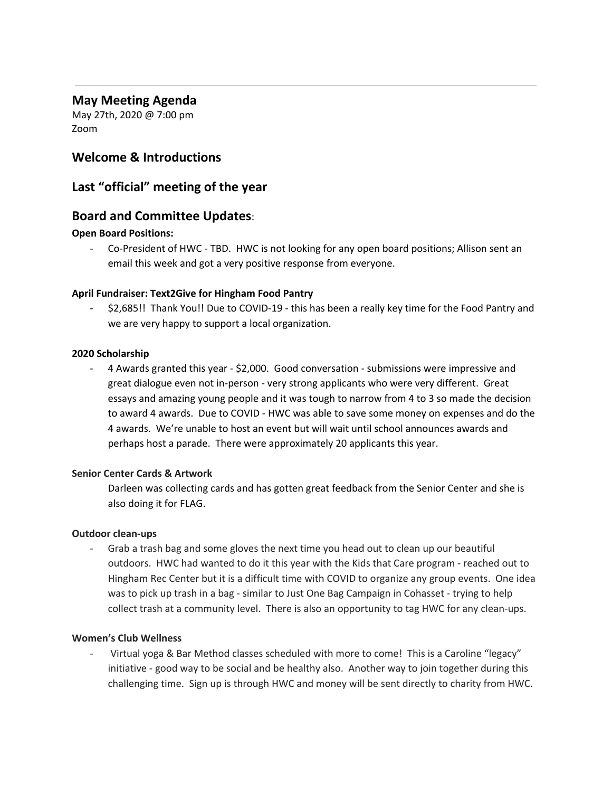# **May Meeting Agenda**

May 27th, 2020 @ 7:00 pm Zoom

# **Welcome & Introductions**

# **Last "official" meeting of the year**

# **Board and Committee Updates**:

### **Open Board Positions:**

- Co-President of HWC - TBD. HWC is not looking for any open board positions; Allison sent an email this week and got a very positive response from everyone.

### **April Fundraiser: Text2Give for Hingham Food Pantry**

- \$2,685!! Thank You!! Due to COVID-19 - this has been a really key time for the Food Pantry and we are very happy to support a local organization.

### **2020 Scholarship**

- 4 Awards granted this year - \$2,000. Good conversation - submissions were impressive and great dialogue even not in-person - very strong applicants who were very different. Great essays and amazing young people and it was tough to narrow from 4 to 3 so made the decision to award 4 awards. Due to COVID - HWC was able to save some money on expenses and do the 4 awards. We're unable to host an event but will wait until school announces awards and perhaps host a parade. There were approximately 20 applicants this year.

## **Senior Center Cards & Artwork**

Darleen was collecting cards and has gotten great feedback from the Senior Center and she is also doing it for FLAG.

### **Outdoor clean-ups**

Grab a trash bag and some gloves the next time you head out to clean up our beautiful outdoors. HWC had wanted to do it this year with the Kids that Care program - reached out to Hingham Rec Center but it is a difficult time with COVID to organize any group events. One idea was to pick up trash in a bag - similar to Just One Bag Campaign in Cohasset - trying to help collect trash at a community level. There is also an opportunity to tag HWC for any clean-ups.

### **Women's Club Wellness**

Virtual yoga & Bar Method classes scheduled with more to come! This is a Caroline "legacy" initiative - good way to be social and be healthy also. Another way to join together during this challenging time. Sign up is through HWC and money will be sent directly to charity from HWC.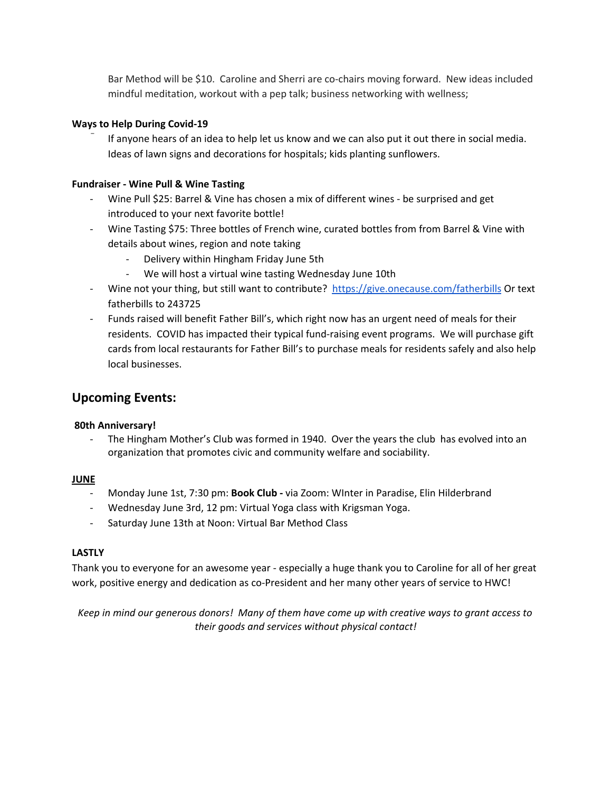Bar Method will be \$10. Caroline and Sherri are co-chairs moving forward. New ideas included mindful meditation, workout with a pep talk; business networking with wellness;

### **Ways to Help During Covid-19**

If anyone hears of an idea to help let us know and we can also put it out there in social media. Ideas of lawn signs and decorations for hospitals; kids planting sunflowers.

### **Fundraiser - Wine Pull & Wine Tasting**

- Wine Pull \$25: Barrel & Vine has chosen a mix of different wines be surprised and get introduced to your next favorite bottle!
- Wine Tasting \$75: Three bottles of French wine, curated bottles from from Barrel & Vine with details about wines, region and note taking
	- Delivery within Hingham Friday June 5th
	- We will host a virtual wine tasting Wednesday June 10th
- Wine not your thing, but still want to contribute? <https://give.onecause.com/fatherbills> Or text fatherbills to 243725
- Funds raised will benefit Father Bill's, which right now has an urgent need of meals for their residents. COVID has impacted their typical fund-raising event programs. We will purchase gift cards from local restaurants for Father Bill's to purchase meals for residents safely and also help local businesses.

# **Upcoming Events:**

### **80th Anniversary!**

The Hingham Mother's Club was formed in 1940. Over the years the club has evolved into an organization that promotes civic and community welfare and sociability.

### **JUNE**

- Monday June 1st, 7:30 pm: **Book Club -** via Zoom: WInter in Paradise, Elin Hilderbrand
- Wednesday June 3rd, 12 pm: Virtual Yoga class with Krigsman Yoga.
- Saturday June 13th at Noon: Virtual Bar Method Class

### **LASTLY**

Thank you to everyone for an awesome year - especially a huge thank you to Caroline for all of her great work, positive energy and dedication as co-President and her many other years of service to HWC!

Keep in mind our generous donors! Many of them have come up with creative ways to grant access to *their goods and services without physical contact!*